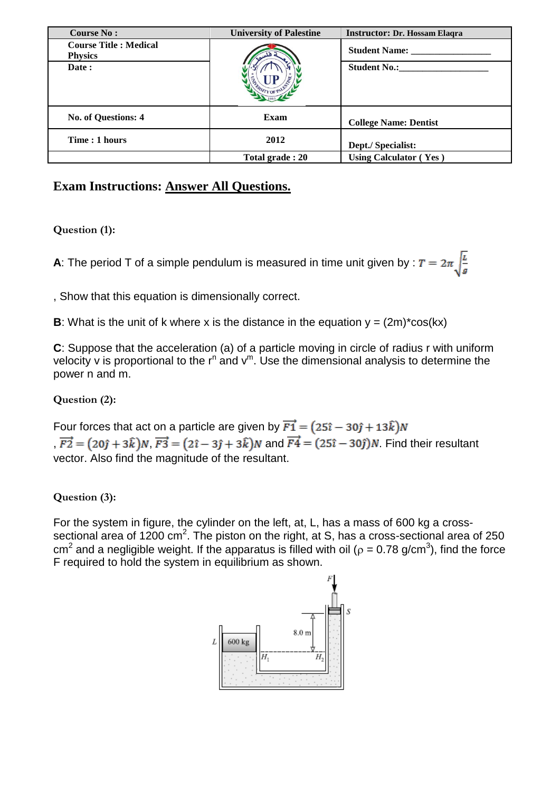| <b>Course No:</b>                               | <b>University of Palestine</b> | <b>Instructor: Dr. Hossam Elaqra</b> |
|-------------------------------------------------|--------------------------------|--------------------------------------|
| <b>Course Title : Medical</b><br><b>Physics</b> |                                | <b>Student Name:</b> _____           |
| Date:                                           |                                | <b>Student No.:</b>                  |
| No. of Questions: 4                             | Exam                           | <b>College Name: Dentist</b>         |
| Time: 1 hours                                   | 2012                           | Dept./ Specialist:                   |
|                                                 | Total grade: 20                | <b>Using Calculator (Yes)</b>        |

## **Exam Instructions: Answer All Questions.**

## **Question (1):**

**A**: The period T of a simple pendulum is measured in time unit given by :  $T = 2\pi \sqrt{\frac{L}{g}}$ 

, Show that this equation is dimensionally correct.

**B**: What is the unit of k where x is the distance in the equation  $y = (2m)^*cos(kx)$ 

**C**: Suppose that the acceleration (a) of a particle moving in circle of radius r with uniform velocity v is proportional to the  $r^n$  and  $v^m$ . Use the dimensional analysis to determine the power n and m.

## **Question (2):**

Four forces that act on a particle are given by  $\overrightarrow{F1} = (25\hat{i} - 30\hat{j} + 13\hat{k})N$ ,  $\overrightarrow{F2} = (20\hat{j} + 3\hat{k})N$ ,  $\overrightarrow{F3} = (2\hat{i} - 3\hat{j} + 3\hat{k})N$  and  $\overrightarrow{F4} = (25\hat{i} - 30\hat{j})N$ . Find their resultant vector. Also find the magnitude of the resultant.

## **Question (3):**

For the system in figure, the cylinder on the left, at, L, has a mass of 600 kg a crosssectional area of 1200 cm<sup>2</sup>. The piston on the right, at S, has a cross-sectional area of 250 cm<sup>2</sup> and a negligible weight. If the apparatus is filled with oil ( $\rho$  = 0.78 g/cm<sup>3</sup>), find the force F required to hold the system in equilibrium as shown.